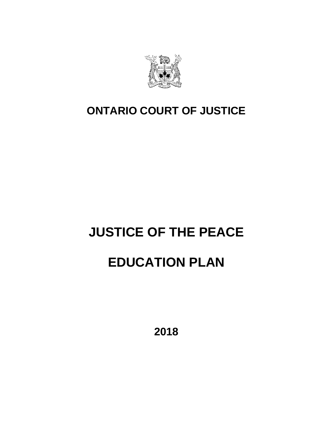

# **ONTARIO COURT OF JUSTICE**

# **JUSTICE OF THE PEACE**

# **EDUCATION PLAN**

**2018**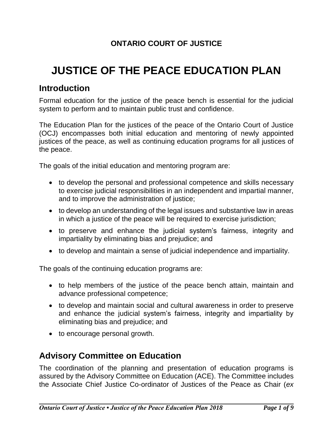# **ONTARIO COURT OF JUSTICE**

# **JUSTICE OF THE PEACE EDUCATION PLAN**

# **Introduction**

Formal education for the justice of the peace bench is essential for the judicial system to perform and to maintain public trust and confidence.

The Education Plan for the justices of the peace of the Ontario Court of Justice (OCJ) encompasses both initial education and mentoring of newly appointed justices of the peace, as well as continuing education programs for all justices of the peace.

The goals of the initial education and mentoring program are:

- to develop the personal and professional competence and skills necessary to exercise judicial responsibilities in an independent and impartial manner, and to improve the administration of justice;
- to develop an understanding of the legal issues and substantive law in areas in which a justice of the peace will be required to exercise jurisdiction;
- to preserve and enhance the judicial system's fairness, integrity and impartiality by eliminating bias and prejudice; and
- to develop and maintain a sense of judicial independence and impartiality.

The goals of the continuing education programs are:

- to help members of the justice of the peace bench attain, maintain and advance professional competence;
- to develop and maintain social and cultural awareness in order to preserve and enhance the judicial system's fairness, integrity and impartiality by eliminating bias and prejudice; and
- to encourage personal growth.

# **Advisory Committee on Education**

The coordination of the planning and presentation of education programs is assured by the Advisory Committee on Education (ACE). The Committee includes the Associate Chief Justice Co-ordinator of Justices of the Peace as Chair (*ex*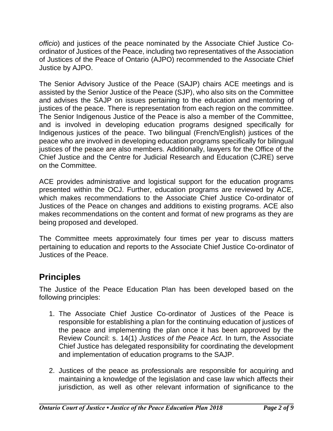*officio*) and justices of the peace nominated by the Associate Chief Justice Coordinator of Justices of the Peace, including two representatives of the Association of Justices of the Peace of Ontario (AJPO) recommended to the Associate Chief Justice by AJPO.

The Senior Advisory Justice of the Peace (SAJP) chairs ACE meetings and is assisted by the Senior Justice of the Peace (SJP), who also sits on the Committee and advises the SAJP on issues pertaining to the education and mentoring of justices of the peace. There is representation from each region on the committee. The Senior Indigenous Justice of the Peace is also a member of the Committee, and is involved in developing education programs designed specifically for Indigenous justices of the peace. Two bilingual (French/English) justices of the peace who are involved in developing education programs specifically for bilingual justices of the peace are also members. Additionally, lawyers for the Office of the Chief Justice and the Centre for Judicial Research and Education (CJRE) serve on the Committee.

ACE provides administrative and logistical support for the education programs presented within the OCJ. Further, education programs are reviewed by ACE, which makes recommendations to the Associate Chief Justice Co-ordinator of Justices of the Peace on changes and additions to existing programs. ACE also makes recommendations on the content and format of new programs as they are being proposed and developed.

The Committee meets approximately four times per year to discuss matters pertaining to education and reports to the Associate Chief Justice Co-ordinator of Justices of the Peace.

# **Principles**

The Justice of the Peace Education Plan has been developed based on the following principles:

- 1. The Associate Chief Justice Co-ordinator of Justices of the Peace is responsible for establishing a plan for the continuing education of justices of the peace and implementing the plan once it has been approved by the Review Council: s. 14(1) *Justices of the Peace Act*. In turn, the Associate Chief Justice has delegated responsibility for coordinating the development and implementation of education programs to the SAJP.
- 2. Justices of the peace as professionals are responsible for acquiring and maintaining a knowledge of the legislation and case law which affects their jurisdiction, as well as other relevant information of significance to the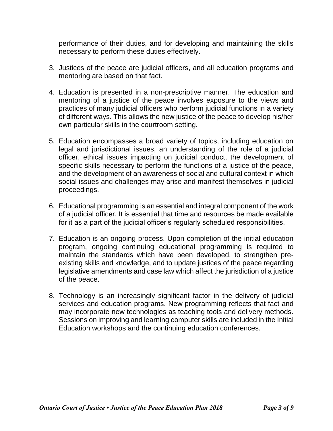performance of their duties, and for developing and maintaining the skills necessary to perform these duties effectively.

- 3. Justices of the peace are judicial officers, and all education programs and mentoring are based on that fact.
- 4. Education is presented in a non-prescriptive manner. The education and mentoring of a justice of the peace involves exposure to the views and practices of many judicial officers who perform judicial functions in a variety of different ways. This allows the new justice of the peace to develop his/her own particular skills in the courtroom setting.
- 5. Education encompasses a broad variety of topics, including education on legal and jurisdictional issues, an understanding of the role of a judicial officer, ethical issues impacting on judicial conduct, the development of specific skills necessary to perform the functions of a justice of the peace, and the development of an awareness of social and cultural context in which social issues and challenges may arise and manifest themselves in judicial proceedings.
- 6. Educational programming is an essential and integral component of the work of a judicial officer. It is essential that time and resources be made available for it as a part of the judicial officer's regularly scheduled responsibilities.
- 7. Education is an ongoing process. Upon completion of the initial education program, ongoing continuing educational programming is required to maintain the standards which have been developed, to strengthen preexisting skills and knowledge, and to update justices of the peace regarding legislative amendments and case law which affect the jurisdiction of a justice of the peace.
- 8. Technology is an increasingly significant factor in the delivery of judicial services and education programs. New programming reflects that fact and may incorporate new technologies as teaching tools and delivery methods. Sessions on improving and learning computer skills are included in the Initial Education workshops and the continuing education conferences.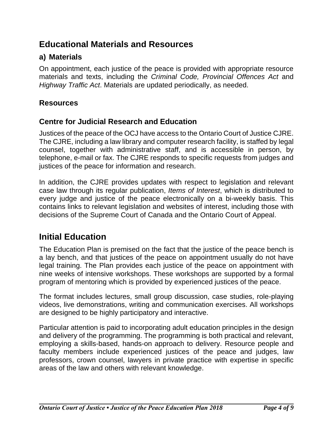# **Educational Materials and Resources**

## **a) Materials**

On appointment, each justice of the peace is provided with appropriate resource materials and texts, including the *Criminal Code, Provincial Offences Act* and *Highway Traffic Act*. Materials are updated periodically, as needed.

#### **Resources**

#### **Centre for Judicial Research and Education**

Justices of the peace of the OCJ have access to the Ontario Court of Justice CJRE. The CJRE, including a law library and computer research facility, is staffed by legal counsel, together with administrative staff, and is accessible in person, by telephone, e-mail or fax. The CJRE responds to specific requests from judges and justices of the peace for information and research.

In addition, the CJRE provides updates with respect to legislation and relevant case law through its regular publication, *Items of Interest*, which is distributed to every judge and justice of the peace electronically on a bi-weekly basis. This contains links to relevant legislation and websites of interest, including those with decisions of the Supreme Court of Canada and the Ontario Court of Appeal.

# **Initial Education**

The Education Plan is premised on the fact that the justice of the peace bench is a lay bench, and that justices of the peace on appointment usually do not have legal training. The Plan provides each justice of the peace on appointment with nine weeks of intensive workshops. These workshops are supported by a formal program of mentoring which is provided by experienced justices of the peace.

The format includes lectures, small group discussion, case studies, role-playing videos, live demonstrations, writing and communication exercises. All workshops are designed to be highly participatory and interactive.

Particular attention is paid to incorporating adult education principles in the design and delivery of the programming. The programming is both practical and relevant, employing a skills-based, hands-on approach to delivery. Resource people and faculty members include experienced justices of the peace and judges, law professors, crown counsel, lawyers in private practice with expertise in specific areas of the law and others with relevant knowledge.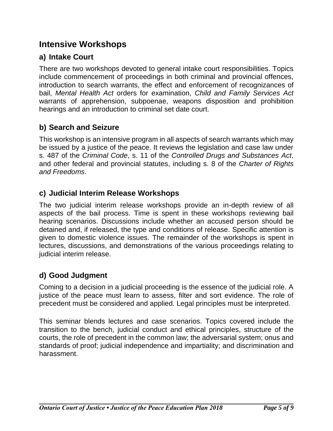# **Intensive Workshops**

# **a) Intake Court**

There are two workshops devoted to general intake court responsibilities. Topics include commencement of proceedings in both criminal and provincial offences, introduction to search warrants, the effect and enforcement of recognizances of bail, *Mental Health Act* orders for examination, *Child and Family Services Act* warrants of apprehension, subpoenae, weapons disposition and prohibition hearings and an introduction to criminal set date court.

# **b) Search and Seizure**

This workshop is an intensive program in all aspects of search warrants which may be issued by a justice of the peace. It reviews the legislation and case law under s. 487 of the *Criminal Code*, s. 11 of the *Controlled Drugs and Substances Act*, and other federal and provincial statutes, including s. 8 of the *Charter of Rights and Freedoms*.

#### **c) Judicial Interim Release Workshops**

The two judicial interim release workshops provide an in-depth review of all aspects of the bail process. Time is spent in these workshops reviewing bail hearing scenarios. Discussions include whether an accused person should be detained and, if released, the type and conditions of release. Specific attention is given to domestic violence issues. The remainder of the workshops is spent in lectures, discussions, and demonstrations of the various proceedings relating to judicial interim release.

# **d) Good Judgment**

Coming to a decision in a judicial proceeding is the essence of the judicial role. A justice of the peace must learn to assess, filter and sort evidence. The role of precedent must be considered and applied. Legal principles must be interpreted.

This seminar blends lectures and case scenarios. Topics covered include the transition to the bench, judicial conduct and ethical principles, structure of the courts, the role of precedent in the common law; the adversarial system; onus and standards of proof; judicial independence and impartiality; and discrimination and harassment.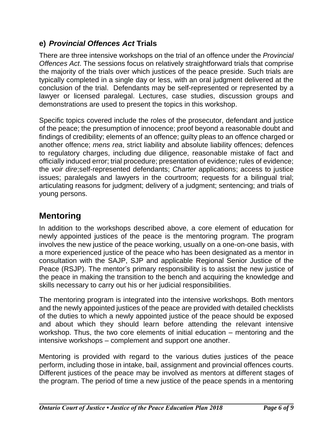## **e)** *Provincial Offences Act* **Trials**

There are three intensive workshops on the trial of an offence under the *Provincial Offences Act*. The sessions focus on relatively straightforward trials that comprise the majority of the trials over which justices of the peace preside. Such trials are typically completed in a single day or less, with an oral judgment delivered at the conclusion of the trial. Defendants may be self-represented or represented by a lawyer or licensed paralegal. Lectures, case studies, discussion groups and demonstrations are used to present the topics in this workshop.

Specific topics covered include the roles of the prosecutor, defendant and justice of the peace; the presumption of innocence; proof beyond a reasonable doubt and findings of credibility; elements of an offence; guilty pleas to an offence charged or another offence; *mens rea*, strict liability and absolute liability offences; defences to regulatory charges, including due diligence, reasonable mistake of fact and officially induced error; trial procedure; presentation of evidence; rules of evidence; the *voir dire*;self-represented defendants; *Charter* applications; access to justice issues; paralegals and lawyers in the courtroom; requests for a bilingual trial; articulating reasons for judgment; delivery of a judgment; sentencing; and trials of young persons.

# **Mentoring**

In addition to the workshops described above, a core element of education for newly appointed justices of the peace is the mentoring program. The program involves the new justice of the peace working, usually on a one-on-one basis, with a more experienced justice of the peace who has been designated as a mentor in consultation with the SAJP, SJP and applicable Regional Senior Justice of the Peace (RSJP). The mentor's primary responsibility is to assist the new justice of the peace in making the transition to the bench and acquiring the knowledge and skills necessary to carry out his or her judicial responsibilities.

The mentoring program is integrated into the intensive workshops. Both mentors and the newly appointed justices of the peace are provided with detailed checklists of the duties to which a newly appointed justice of the peace should be exposed and about which they should learn before attending the relevant intensive workshop. Thus, the two core elements of initial education – mentoring and the intensive workshops – complement and support one another.

Mentoring is provided with regard to the various duties justices of the peace perform, including those in intake, bail, assignment and provincial offences courts. Different justices of the peace may be involved as mentors at different stages of the program. The period of time a new justice of the peace spends in a mentoring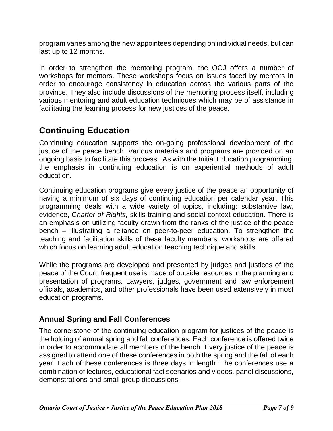program varies among the new appointees depending on individual needs, but can last up to 12 months.

In order to strengthen the mentoring program, the OCJ offers a number of workshops for mentors. These workshops focus on issues faced by mentors in order to encourage consistency in education across the various parts of the province. They also include discussions of the mentoring process itself, including various mentoring and adult education techniques which may be of assistance in facilitating the learning process for new justices of the peace.

# **Continuing Education**

Continuing education supports the on-going professional development of the justice of the peace bench. Various materials and programs are provided on an ongoing basis to facilitate this process. As with the Initial Education programming, the emphasis in continuing education is on experiential methods of adult education.

Continuing education programs give every justice of the peace an opportunity of having a minimum of six days of continuing education per calendar year. This programming deals with a wide variety of topics, including: substantive law, evidence, *Charter of Rights,* skills training and social context education. There is an emphasis on utilizing faculty drawn from the ranks of the justice of the peace bench – illustrating a reliance on peer-to-peer education. To strengthen the teaching and facilitation skills of these faculty members, workshops are offered which focus on learning adult education teaching technique and skills.

While the programs are developed and presented by judges and justices of the peace of the Court, frequent use is made of outside resources in the planning and presentation of programs. Lawyers, judges, government and law enforcement officials, academics, and other professionals have been used extensively in most education programs.

#### **Annual Spring and Fall Conferences**

The cornerstone of the continuing education program for justices of the peace is the holding of annual spring and fall conferences. Each conference is offered twice in order to accommodate all members of the bench. Every justice of the peace is assigned to attend one of these conferences in both the spring and the fall of each year. Each of these conferences is three days in length. The conferences use a combination of lectures, educational fact scenarios and videos, panel discussions, demonstrations and small group discussions.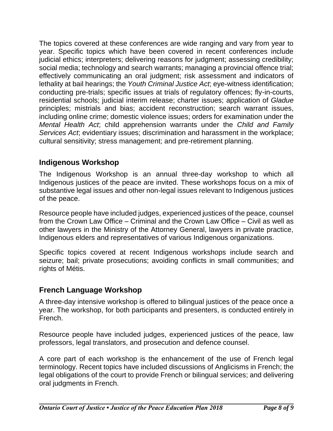The topics covered at these conferences are wide ranging and vary from year to year. Specific topics which have been covered in recent conferences include judicial ethics; interpreters; delivering reasons for judgment; assessing credibility; social media; technology and search warrants; managing a provincial offence trial; effectively communicating an oral judgment; risk assessment and indicators of lethality at bail hearings; the *Youth Criminal Justice Act*; eye-witness identification; conducting pre-trials; specific issues at trials of regulatory offences; fly-in-courts, residential schools; judicial interim release; charter issues; application of *Gladue* principles; mistrials and bias; accident reconstruction; search warrant issues, including online crime; domestic violence issues; orders for examination under the *Mental Health Act*; child apprehension warrants under the *Child and Family Services Act*; evidentiary issues; discrimination and harassment in the workplace; cultural sensitivity; stress management; and pre-retirement planning.

# **Indigenous Workshop**

The Indigenous Workshop is an annual three-day workshop to which all Indigenous justices of the peace are invited. These workshops focus on a mix of substantive legal issues and other non-legal issues relevant to Indigenous justices of the peace.

Resource people have included judges, experienced justices of the peace, counsel from the Crown Law Office – Criminal and the Crown Law Office – Civil as well as other lawyers in the Ministry of the Attorney General, lawyers in private practice, Indigenous elders and representatives of various Indigenous organizations.

Specific topics covered at recent Indigenous workshops include search and seizure; bail; private prosecutions; avoiding conflicts in small communities; and rights of Métis.

# **French Language Workshop**

A three-day intensive workshop is offered to bilingual justices of the peace once a year. The workshop, for both participants and presenters, is conducted entirely in French.

Resource people have included judges, experienced justices of the peace, law professors, legal translators, and prosecution and defence counsel.

A core part of each workshop is the enhancement of the use of French legal terminology. Recent topics have included discussions of Anglicisms in French; the legal obligations of the court to provide French or bilingual services; and delivering oral judgments in French.